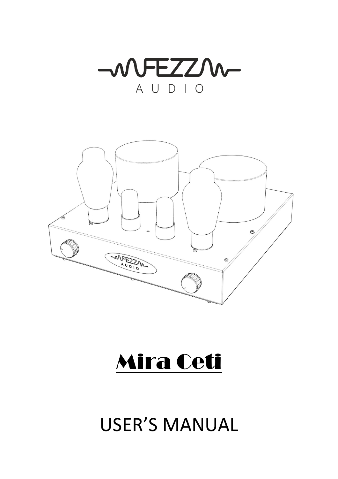



# Mira Ceti

## USER'S MANUAL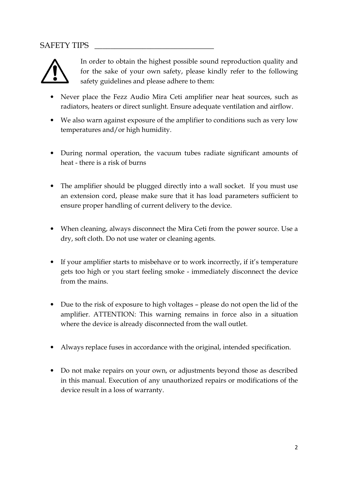#### SAFETY TIPS



In order to obtain the highest possible sound reproduction quality and for the sake of your own safety, please kindly refer to the following safety guidelines and please adhere to them:

- Never place the Fezz Audio Mira Ceti amplifier near heat sources, such as radiators, heaters or direct sunlight. Ensure adequate ventilation and airflow.
- We also warn against exposure of the amplifier to conditions such as very low temperatures and/or high humidity.
- During normal operation, the vacuum tubes radiate significant amounts of heat - there is a risk of burns
- The amplifier should be plugged directly into a wall socket. If you must use an extension cord, please make sure that it has load parameters sufficient to ensure proper handling of current delivery to the device.
- When cleaning, always disconnect the Mira Ceti from the power source. Use a dry, soft cloth. Do not use water or cleaning agents.
- If your amplifier starts to misbehave or to work incorrectly, if it's temperature gets too high or you start feeling smoke - immediately disconnect the device from the mains.
- Due to the risk of exposure to high voltages please do not open the lid of the amplifier. ATTENTION: This warning remains in force also in a situation where the device is already disconnected from the wall outlet.
- Always replace fuses in accordance with the original, intended specification.
- Do not make repairs on your own, or adjustments beyond those as described in this manual. Execution of any unauthorized repairs or modifications of the device result in a loss of warranty.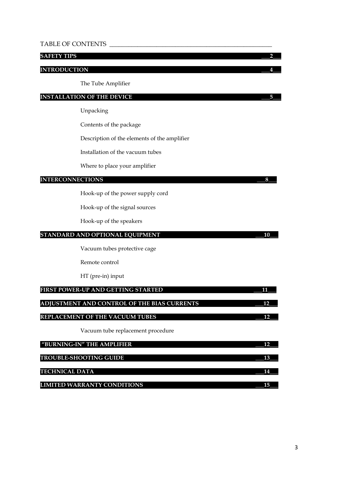#### TABLE OF CONTENTS \_\_\_\_\_\_\_\_\_\_\_\_\_\_\_\_\_\_\_\_\_\_\_\_\_\_\_\_\_\_\_\_\_\_\_\_\_\_\_\_\_\_\_\_\_\_\_\_\_\_\_\_

#### SAFETY TIPS 22

#### INTRODUCTION \_\_\_4\_\_\_

The Tube Amplifier

#### INSTALLATION OF THE DEVICE \_\_\_5\_\_\_

Unpacking

Contents of the package

Description of the elements of the amplifier

Installation of the vacuum tubes

Where to place your amplifier

#### INTERCONNECTIONS \_\_\_8\_\_\_

Hook-up of the power supply cord

Hook-up of the signal sources

Hook-up of the speakers

#### STANDARD AND OPTIONAL EQUIPMENT **FOULD** 20 10

Vacuum tubes protective cage

Remote control

HT (pre-in) input

| FIRST POWER-UP AND GETTING STARTED          |    |
|---------------------------------------------|----|
| ADJUSTMENT AND CONTROL OF THE BIAS CURRENTS | 12 |
| <b>REPLACEMENT OF THE VACUUM TUBES</b>      |    |
| Vacuum tube replacement procedure           |    |
| "BURNING-IN" THE AMPLIFIER                  |    |
| <b>TROUBLE-SHOOTING GUIDE</b>               |    |

TECHNICAL DATA  $14$ 

LIMITED WARRANTY CONDITIONS \_\_\_15\_\_\_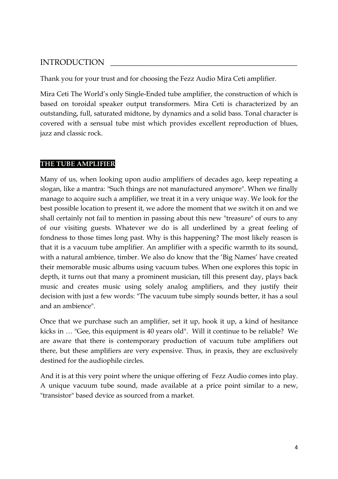#### INTRODUCTION \_\_\_\_\_\_\_\_\_\_\_\_\_\_\_\_\_\_\_\_\_\_\_\_\_\_\_\_\_\_\_\_\_\_\_\_\_\_\_\_\_\_\_\_\_\_\_

Thank you for your trust and for choosing the Fezz Audio Mira Ceti amplifier.

Mira Ceti The World's only Single-Ended tube amplifier, the construction of which is based on toroidal speaker output transformers. Mira Ceti is characterized by an outstanding, full, saturated midtone, by dynamics and a solid bass. Tonal character is covered with a sensual tube mist which provides excellent reproduction of blues, jazz and classic rock.

#### THE TUBE AMPLIFIER

Many of us, when looking upon audio amplifiers of decades ago, keep repeating a slogan, like a mantra: "Such things are not manufactured anymore". When we finally manage to acquire such a amplifier, we treat it in a very unique way. We look for the best possible location to present it, we adore the moment that we switch it on and we shall certainly not fail to mention in passing about this new "treasure" of ours to any of our visiting guests. Whatever we do is all underlined by a great feeling of fondness to those times long past. Why is this happening? The most likely reason is that it is a vacuum tube amplifier. An amplifier with a specific warmth to its sound, with a natural ambience, timber. We also do know that the 'Big Names' have created their memorable music albums using vacuum tubes. When one explores this topic in depth, it turns out that many a prominent musician, till this present day, plays back music and creates music using solely analog amplifiers, and they justify their decision with just a few words: "The vacuum tube simply sounds better, it has a soul and an ambience".

Once that we purchase such an amplifier, set it up, hook it up, a kind of hesitance kicks in … "Gee, this equipment is 40 years old". Will it continue to be reliable? We are aware that there is contemporary production of vacuum tube amplifiers out there, but these amplifiers are very expensive. Thus, in praxis, they are exclusively destined for the audiophile circles.

And it is at this very point where the unique offering of Fezz Audio comes into play. A unique vacuum tube sound, made available at a price point similar to a new, "transistor" based device as sourced from a market.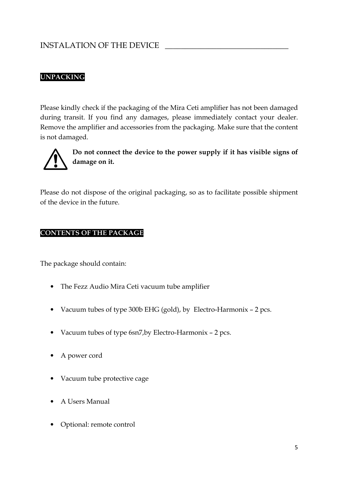## INSTALATION OF THE DEVICE

#### UNPACKING

Please kindly check if the packaging of the Mira Ceti amplifier has not been damaged during transit. If you find any damages, please immediately contact your dealer. Remove the amplifier and accessories from the packaging. Make sure that the content is not damaged.



Do not connect the device to the power supply if it has visible signs of damage on it.

Please do not dispose of the original packaging, so as to facilitate possible shipment of the device in the future.

#### CONTENTS OF THE PACKAGE

The package should contain:

- The Fezz Audio Mira Ceti vacuum tube amplifier
- Vacuum tubes of type 300b EHG (gold), by Electro-Harmonix 2 pcs.
- Vacuum tubes of type 6sn7,by Electro-Harmonix 2 pcs.
- A power cord
- Vacuum tube protective cage
- A Users Manual
- Optional: remote control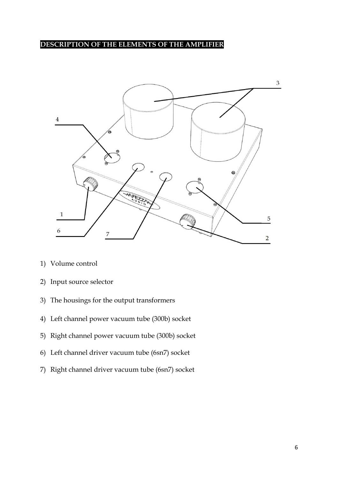#### DESCRIPTION OF THE ELEMENTS OF THE AMPLIFIER



- 1) Volume control
- 2) Input source selector
- 3) The housings for the output transformers
- 4) Left channel power vacuum tube (300b) socket
- 5) Right channel power vacuum tube (300b) socket
- 6) Left channel driver vacuum tube (6sn7) socket
- 7) Right channel driver vacuum tube (6sn7) socket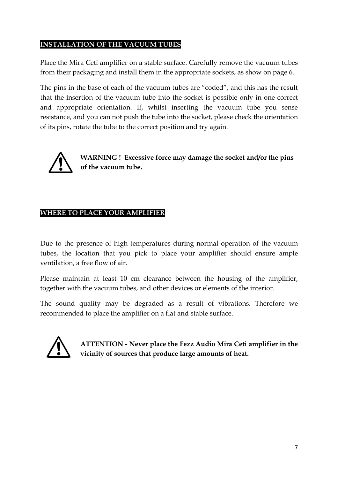#### INSTALLATION OF THE VACUUM TUBES

Place the Mira Ceti amplifier on a stable surface. Carefully remove the vacuum tubes from their packaging and install them in the appropriate sockets, as show on page 6.

The pins in the base of each of the vacuum tubes are "coded", and this has the result that the insertion of the vacuum tube into the socket is possible only in one correct and appropriate orientation. If, whilst inserting the vacuum tube you sense resistance, and you can not push the tube into the socket, please check the orientation of its pins, rotate the tube to the correct position and try again.



WARNING ! Excessive force may damage the socket and/or the pins of the vacuum tube.

#### WHERE TO PLACE YOUR AMPLIFIER

Due to the presence of high temperatures during normal operation of the vacuum tubes, the location that you pick to place your amplifier should ensure ample ventilation, a free flow of air.

Please maintain at least 10 cm clearance between the housing of the amplifier, together with the vacuum tubes, and other devices or elements of the interior.

The sound quality may be degraded as a result of vibrations. Therefore we recommended to place the amplifier on a flat and stable surface.



ATTENTION - Never place the Fezz Audio Mira Ceti amplifier in the vicinity of sources that produce large amounts of heat.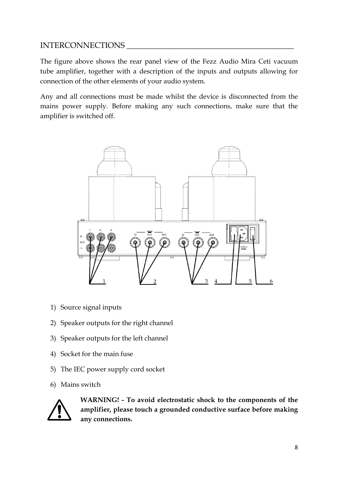#### INTERCONNECTIONS

The figure above shows the rear panel view of the Fezz Audio Mira Ceti vacuum tube amplifier, together with a description of the inputs and outputs allowing for connection of the other elements of your audio system.

Any and all connections must be made whilst the device is disconnected from the mains power supply. Before making any such connections, make sure that the amplifier is switched off.



- 1) Source signal inputs
- 2) Speaker outputs for the right channel
- 3) Speaker outputs for the left channel
- 4) Socket for the main fuse
- 5) The IEC power supply cord socket
- 6) Mains switch



WARNING! - To avoid electrostatic shock to the components of the amplifier, please touch a grounded conductive surface before making any connections.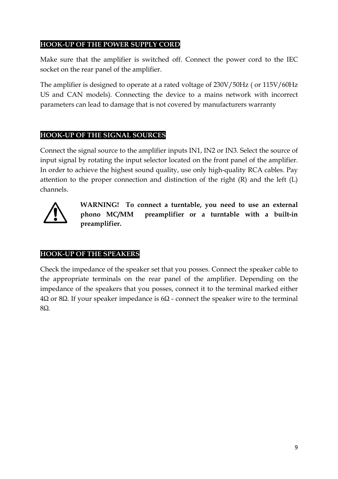#### HOOK-UP OF THE POWER SUPPLY CORD

Make sure that the amplifier is switched off. Connect the power cord to the IEC socket on the rear panel of the amplifier.

The amplifier is designed to operate at a rated voltage of 230V/50Hz ( or 115V/60Hz US and CAN models). Connecting the device to a mains network with incorrect parameters can lead to damage that is not covered by manufacturers warranty

#### HOOK-UP OF THE SIGNAL SOURCES

Connect the signal source to the amplifier inputs IN1, IN2 or IN3. Select the source of input signal by rotating the input selector located on the front panel of the amplifier. In order to achieve the highest sound quality, use only high-quality RCA cables. Pay attention to the proper connection and distinction of the right (R) and the left (L) channels.



WARNING! To connect a turntable, you need to use an external phono MC/MM preamplifier or a turntable with a built-in preamplifier.

#### HOOK-UP OF THE SPEAKERS

Check the impedance of the speaker set that you posses. Connect the speaker cable to the appropriate terminals on the rear panel of the amplifier. Depending on the impedance of the speakers that you posses, connect it to the terminal marked either  $4\Omega$  or 8 $Ω$ . If your speaker impedance is 6 $Ω$  - connect the speaker wire to the terminal 8Ω.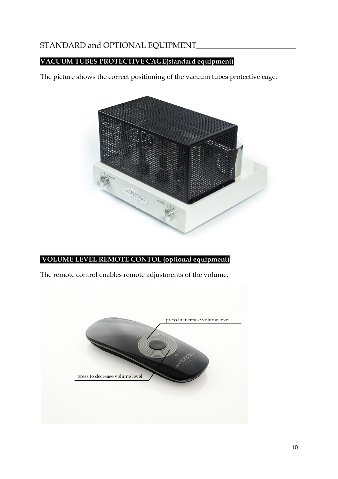## STANDARD and OPTIONAL EQUIPMENT\_\_\_\_\_\_\_\_\_\_\_\_\_\_\_\_\_\_\_\_\_\_\_\_\_

#### VACUUM TUBES PROTECTIVE CAGE(standard equipment)

The picture shows the correct positioning of the vacuum tubes protective cage.



#### VOLUME LEVEL REMOTE CONTOL (optional equipment)

The remote control enables remote adjustments of the volume.

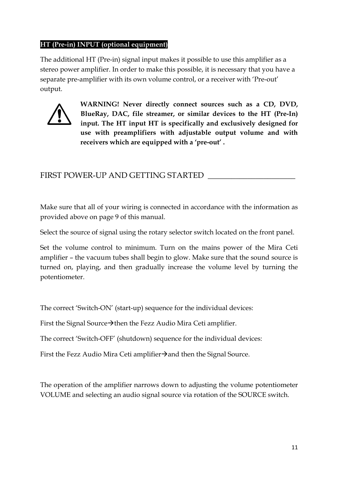#### HT (Pre-in) INPUT (optional equipment)

The additional HT (Pre-in) signal input makes it possible to use this amplifier as a stereo power amplifier. In order to make this possible, it is necessary that you have a separate pre-amplifier with its own volume control, or a receiver with 'Pre-out' output.



WARNING! Never directly connect sources such as a CD, DVD, BlueRay, DAC, file streamer, or similar devices to the HT (Pre-In) input. The HT input HT is specifically and exclusively designed for use with preamplifiers with adjustable output volume and with receivers which are equipped with a 'pre-out' .

#### FIRST POWER-UP AND GETTING STARTED \_\_\_\_\_\_\_\_\_\_\_\_\_\_\_\_\_\_\_\_\_\_

Make sure that all of your wiring is connected in accordance with the information as provided above on page 9 of this manual.

Select the source of signal using the rotary selector switch located on the front panel.

Set the volume control to minimum. Turn on the mains power of the Mira Ceti amplifier – the vacuum tubes shall begin to glow. Make sure that the sound source is turned on, playing, and then gradually increase the volume level by turning the potentiometer.

The correct 'Switch-ON' (start-up) sequence for the individual devices:

First the Signal Source $\rightarrow$ then the Fezz Audio Mira Ceti amplifier.

The correct 'Switch-OFF' (shutdown) sequence for the individual devices:

First the Fezz Audio Mira Ceti amplifier  $\rightarrow$  and then the Signal Source.

The operation of the amplifier narrows down to adjusting the volume potentiometer VOLUME and selecting an audio signal source via rotation of the SOURCE switch.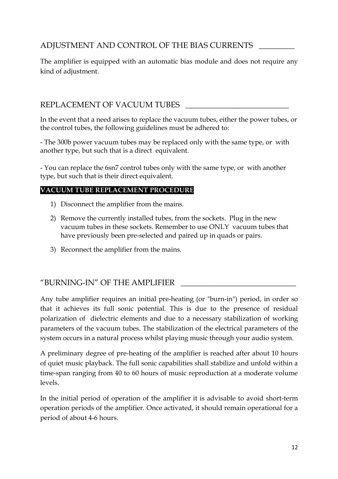## ADJUSTMENT AND CONTROL OF THE BIAS CURRENTS

The amplifier is equipped with an automatic bias module and does not require any kind of adjustment.

## REPLACEMENT OF VACUUM TUBES

In the event that a need arises to replace the vacuum tubes, either the power tubes, or the control tubes, the following guidelines must be adhered to:

- The 300b power vacuum tubes may be replaced only with the same type, or with another type, but such that is a direct equivalent.

- You can replace the 6sn7 control tubes only with the same type, or with another type, but such that is their direct equivalent.

#### VACUUM TUBE REPLACEMENT PROCEDURE

- 1) Disconnect the amplifier from the mains.
- 2) Remove the currently installed tubes, from the sockets. Plug in the new vacuum tubes in these sockets. Remember to use ONLY vacuum tubes that have previously been pre-selected and paired up in quads or pairs.
- 3) Reconnect the amplifier from the mains.

## "BURNING-IN" OF THE AMPLIFIER

Any tube amplifier requires an initial pre-heating (or "burn-in") period, in order so that it achieves its full sonic potential. This is due to the presence of residual polarization of dielectric elements and due to a necessary stabilization of working parameters of the vacuum tubes. The stabilization of the electrical parameters of the system occurs in a natural process whilst playing music through your audio system.

A preliminary degree of pre-heating of the amplifier is reached after about 10 hours of quiet music playback. The full sonic capabilities shall stabilize and unfold within a time-span ranging from 40 to 60 hours of music reproduction at a moderate volume levels.

In the initial period of operation of the amplifier it is advisable to avoid short-term operation periods of the amplifier. Once activated, it should remain operational for a period of about 4-6 hours.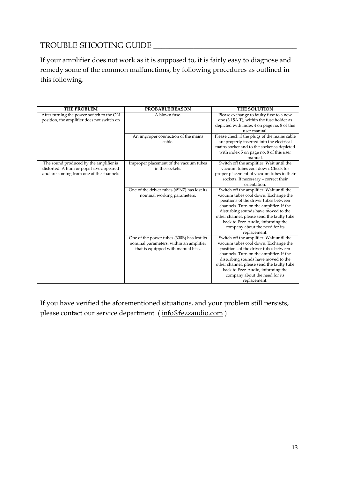## TROUBLE-SHOOTING GUIDE \_\_\_\_\_\_\_\_\_\_\_\_\_\_\_\_\_\_\_\_\_\_\_\_\_\_\_\_\_\_\_\_\_\_\_\_

If your amplifier does not work as it is supposed to, it is fairly easy to diagnose and remedy some of the common malfunctions, by following procedures as outlined in this following.

| <b>THE PROBLEM</b>                         | <b>PROBABLE REASON</b>                      | <b>THE SOLUTION</b>                          |
|--------------------------------------------|---------------------------------------------|----------------------------------------------|
| After turning the power switch to the ON   | A blown fuse.                               | Please exchange to faulty fuse to a new      |
| position, the amplifier does not switch on |                                             | one (3,15A T), within the fuse holder as     |
|                                            |                                             | depicted with index 4 on page no. 8 of this  |
|                                            |                                             | user manual.                                 |
|                                            | An improper connection of the mains         | Please check if the plugs of the mains cable |
|                                            | cable.                                      | are properly inserted into the electrical    |
|                                            |                                             | mains socket and to the socket as depicted   |
|                                            |                                             | with index 5 on page no. 8 of this user      |
|                                            |                                             | manual.                                      |
| The sound produced by the amplifier is     | Improper placement of the vacuum tubes      | Switch off the amplifier. Wait until the     |
| distorted. A hum or pops have appeared     | in the sockets.                             | vacuum tubes cool down. Check for            |
| and are coming from one of the channels    |                                             | proper placement of vacuum tubes in their    |
|                                            |                                             | sockets. If necessary - correct their        |
|                                            |                                             | orientation.                                 |
|                                            | One of the driver tubes (6SN7) has lost its | Switch off the amplifier. Wait until the     |
|                                            | nominal working parameters.                 | vacuum tubes cool down. Exchange the         |
|                                            |                                             | positions of the driver tubes between        |
|                                            |                                             | channels. Turn on the amplifier. If the      |
|                                            |                                             | disturbing sounds have moved to the          |
|                                            |                                             | other channel, please send the faulty tube   |
|                                            |                                             | back to Fezz Audio, informing the            |
|                                            |                                             | company about the need for its               |
|                                            |                                             | replacement.                                 |
|                                            | One of the power tubes (300B) has lost its  | Switch off the amplifier. Wait until the     |
|                                            | nominal parameters, within an amplifier     | vacuum tubes cool down. Exchange the         |
|                                            | that is equipped with manual bias.          | positions of the driver tubes between        |
|                                            |                                             | channels. Turn on the amplifier. If the      |
|                                            |                                             | disturbing sounds have moved to the          |
|                                            |                                             | other channel, please send the faulty tube   |
|                                            |                                             | back to Fezz Audio, informing the            |
|                                            |                                             | company about the need for its               |
|                                            |                                             | replacement.                                 |

If you have verified the aforementioned situations, and your problem still persists, please contact our service department ( info@fezzaudio.com )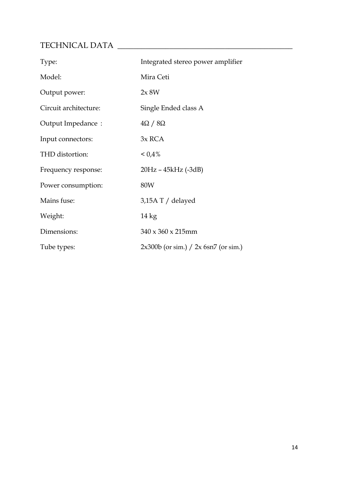## TECHNICAL DATA \_\_\_\_\_\_\_\_\_\_\_\_\_\_\_\_\_\_\_\_\_\_\_\_\_\_\_\_\_\_\_\_\_\_\_\_\_\_\_\_\_\_\_\_

| Type:                 | Integrated stereo power amplifier        |
|-----------------------|------------------------------------------|
| Model:                | Mira Ceti                                |
| Output power:         | 2x 8W                                    |
| Circuit architecture: | Single Ended class A                     |
| Output Impedance:     | $4\Omega / 8\Omega$                      |
| Input connectors:     | 3x RCA                                   |
| THD distortion:       | $< 0.4\%$                                |
| Frequency response:   | 20Hz - 45kHz (-3dB)                      |
| Power consumption:    | 80W                                      |
| Mains fuse:           | 3,15A T / delayed                        |
| Weight:               | $14 \text{ kg}$                          |
| Dimensions:           | $340 \times 360 \times 215$ mm           |
| Tube types:           | $2x300b$ (or sim.) $/ 2x 6sn7$ (or sim.) |